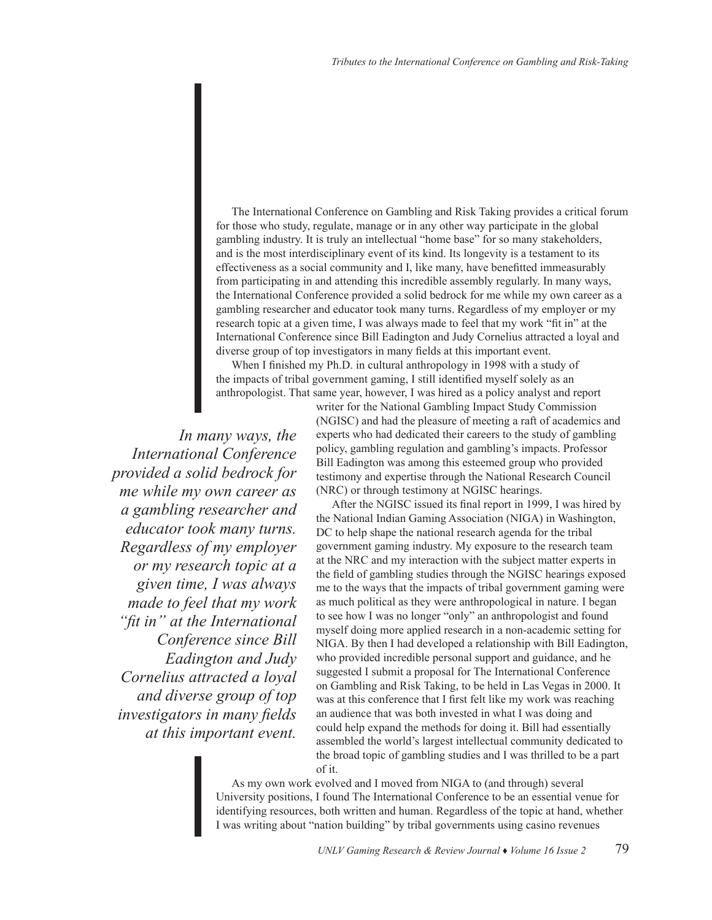The International Conference on Gambling and Risk Taking provides a critical forum for those who study, regulate, manage or in any other way participate in the global gambling industry. It is truly an intellectual "home base" for so many stakeholders, and is the most interdisciplinary event of its kind. Its longevity is a testament to its effectiveness as a social community and I, like many, have benefitted immeasurably from participating in and attending this incredible assembly regularly. In many ways, the International Conference provided a solid bedrock for me while my own career as a gambling researcher and educator took many turns. Regardless of my employer or my research topic at a given time, I was always made to feel that my work "fit in" at the International Conference since Bill Eadington and Judy Cornelius attracted a loyal and diverse group of top investigators in many fields at this important event.

When I finished my Ph.D. in cultural anthropology in 1998 with a study of the impacts of tribal government gaming, I still identified myself solely as an anthropologist. That same year, however, I was hired as a policy analyst and report

*In many ways, the International Conference provided a solid bedrock for me while my own career as a gambling researcher and educator took many turns. Regardless of my employer or my research topic at a given time, I was always made to feel that my work "fit in" at the International Conference since Bill Eadington and Judy Cornelius attracted a loyal and diverse group of top investigators in many fields at this important event.* 

writer for the National Gambling Impact Study Commission (NGISC) and had the pleasure of meeting a raft of academics and experts who had dedicated their careers to the study of gambling policy, gambling regulation and gambling's impacts. Professor Bill Eadington was among this esteemed group who provided testimony and expertise through the National Research Council (NRC) or through testimony at NGISC hearings.

After the NGISC issued its final report in 1999, I was hired by the National Indian Gaming Association (NIGA) in Washington, DC to help shape the national research agenda for the tribal government gaming industry. My exposure to the research team at the NRC and my interaction with the subject matter experts in the field of gambling studies through the NGISC hearings exposed me to the ways that the impacts of tribal government gaming were as much political as they were anthropological in nature. I began to see how I was no longer "only" an anthropologist and found myself doing more applied research in a non-academic setting for NIGA. By then I had developed a relationship with Bill Eadington, who provided incredible personal support and guidance, and he suggested I submit a proposal for The International Conference on Gambling and Risk Taking, to be held in Las Vegas in 2000. It was at this conference that I first felt like my work was reaching an audience that was both invested in what I was doing and could help expand the methods for doing it. Bill had essentially assembled the world's largest intellectual community dedicated to the broad topic of gambling studies and I was thrilled to be a part of it.

As my own work evolved and I moved from NIGA to (and through) several University positions, I found The International Conference to be an essential venue for identifying resources, both written and human. Regardless of the topic at hand, whether I was writing about "nation building" by tribal governments using casino revenues